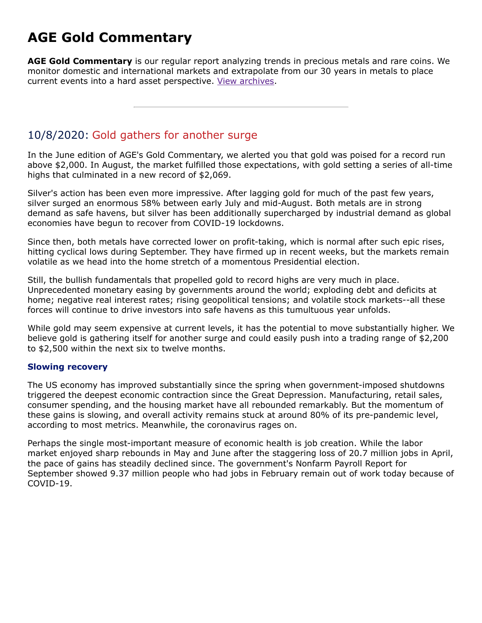# **AGE Gold Commentary**

**AGE Gold Commentary** is our regular report analyzing trends in precious metals and rare coins. We monitor domestic and international markets and extrapolate from our 30 years in metals to place current events into a hard asset perspective. [View archives.](https://www.amergold.com/gold-news-info/gold-commentary-archives.php)

# 10/8/2020: Gold gathers for another surge

In the June edition of AGE's Gold Commentary, we alerted you that gold was poised for a record run above \$2,000. In August, the market fulfilled those expectations, with gold setting a series of all-time highs that culminated in a new record of \$2,069.

Silver's action has been even more impressive. After lagging gold for much of the past few years, silver surged an enormous 58% between early July and mid-August. Both metals are in strong demand as safe havens, but silver has been additionally supercharged by industrial demand as global economies have begun to recover from COVID-19 lockdowns.

Since then, both metals have corrected lower on profit-taking, which is normal after such epic rises, hitting cyclical lows during September. They have firmed up in recent weeks, but the markets remain volatile as we head into the home stretch of a momentous Presidential election.

Still, the bullish fundamentals that propelled gold to record highs are very much in place. Unprecedented monetary easing by governments around the world; exploding debt and deficits at home; negative real interest rates; rising geopolitical tensions; and volatile stock markets--all these forces will continue to drive investors into safe havens as this tumultuous year unfolds.

While gold may seem expensive at current levels, it has the potential to move substantially higher. We believe gold is gathering itself for another surge and could easily push into a trading range of \$2,200 to \$2,500 within the next six to twelve months.

## **Slowing recovery**

The US economy has improved substantially since the spring when government-imposed shutdowns triggered the deepest economic contraction since the Great Depression. Manufacturing, retail sales, consumer spending, and the housing market have all rebounded remarkably. But the momentum of these gains is slowing, and overall activity remains stuck at around 80% of its pre-pandemic level, according to most metrics. Meanwhile, the coronavirus rages on.

Perhaps the single most-important measure of economic health is job creation. While the labor market enjoyed sharp rebounds in May and June after the staggering loss of 20.7 million jobs in April, the pace of gains has steadily declined since. The government's Nonfarm Payroll Report for September showed 9.37 million people who had jobs in February remain out of work today because of COVID-19.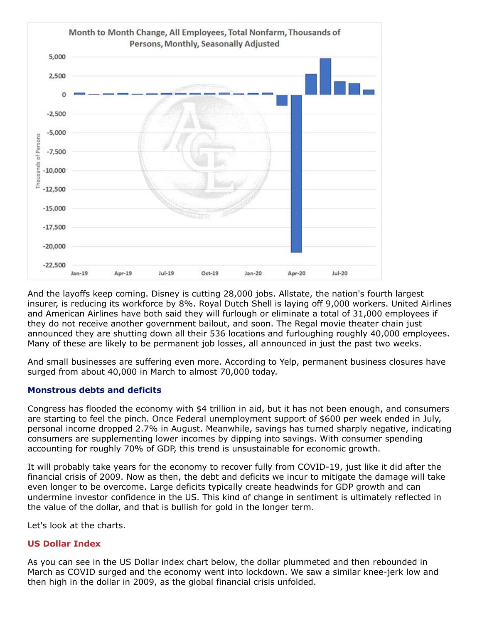

And the layoffs keep coming. Disney is cutting 28,000 jobs. Allstate, the nation's fourth largest insurer, is reducing its workforce by 8%. Royal Dutch Shell is laying off 9,000 workers. United Airlines and American Airlines have both said they will furlough or eliminate a total of 31,000 employees if they do not receive another government bailout, and soon. The Regal movie theater chain just announced they are shutting down all their 536 locations and furloughing roughly 40,000 employees. Many of these are likely to be permanent job losses, all announced in just the past two weeks.

And small businesses are suffering even more. According to Yelp, permanent business closures have surged from about 40,000 in March to almost 70,000 today.

## **Monstrous debts and deficits**

Congress has flooded the economy with \$4 trillion in aid, but it has not been enough, and consumers are starting to feel the pinch. Once Federal unemployment support of \$600 per week ended in July, personal income dropped 2.7% in August. Meanwhile, savings has turned sharply negative, indicating consumers are supplementing lower incomes by dipping into savings. With consumer spending accounting for roughly 70% of GDP, this trend is unsustainable for economic growth.

It will probably take years for the economy to recover fully from COVID-19, just like it did after the financial crisis of 2009. Now as then, the debt and deficits we incur to mitigate the damage will take even longer to be overcome. Large deficits typically create headwinds for GDP growth and can undermine investor confidence in the US. This kind of change in sentiment is ultimately reflected in the value of the dollar, and that is bullish for gold in the longer term.

Let's look at the charts.

## **US Dollar Index**

As you can see in the US Dollar index chart below, the dollar plummeted and then rebounded in March as COVID surged and the economy went into lockdown. We saw a similar knee-jerk low and then high in the dollar in 2009, as the global financial crisis unfolded.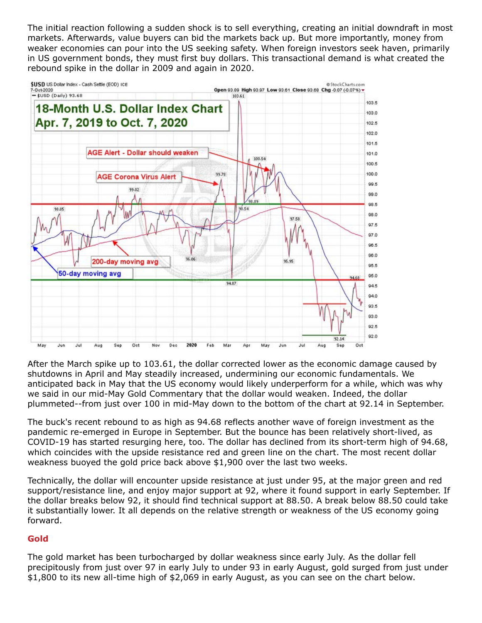The initial reaction following a sudden shock is to sell everything, creating an initial downdraft in most markets. Afterwards, value buyers can bid the markets back up. But more importantly, money from weaker economies can pour into the US seeking safety. When foreign investors seek haven, primarily in US government bonds, they must first buy dollars. This transactional demand is what created the rebound spike in the dollar in 2009 and again in 2020.



After the March spike up to 103.61, the dollar corrected lower as the economic damage caused by shutdowns in April and May steadily increased, undermining our economic fundamentals. We anticipated back in May that the US economy would likely underperform for a while, which was why we said in our mid-May Gold Commentary that the dollar would weaken. Indeed, the dollar plummeted--from just over 100 in mid-May down to the bottom of the chart at 92.14 in September.

The buck's recent rebound to as high as 94.68 reflects another wave of foreign investment as the pandemic re-emerged in Europe in September. But the bounce has been relatively short-lived, as COVID-19 has started resurging here, too. The dollar has declined from its short-term high of 94.68, which coincides with the upside resistance red and green line on the chart. The most recent dollar weakness buoyed the gold price back above \$1,900 over the last two weeks.

Technically, the dollar will encounter upside resistance at just under 95, at the major green and red support/resistance line, and enjoy major support at 92, where it found support in early September. If the dollar breaks below 92, it should find technical support at 88.50. A break below 88.50 could take it substantially lower. It all depends on the relative strength or weakness of the US economy going forward.

## **Gold**

The gold market has been turbocharged by dollar weakness since early July. As the dollar fell precipitously from just over 97 in early July to under 93 in early August, gold surged from just under \$1,800 to its new all-time high of \$2,069 in early August, as you can see on the chart below.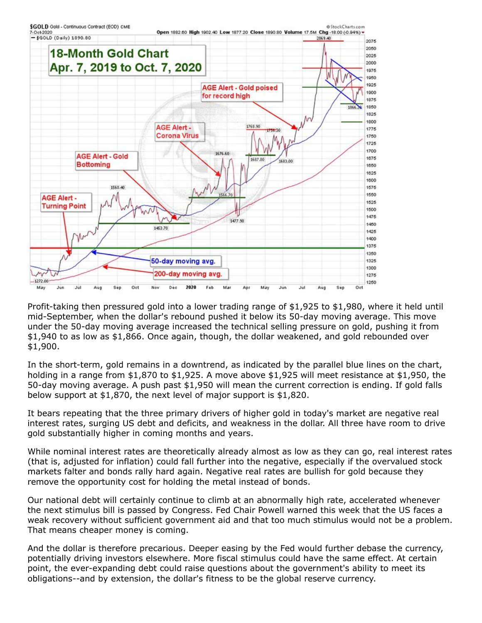

Profit-taking then pressured gold into a lower trading range of \$1,925 to \$1,980, where it held until mid-September, when the dollar's rebound pushed it below its 50-day moving average. This move under the 50-day moving average increased the technical selling pressure on gold, pushing it from \$1,940 to as low as \$1,866. Once again, though, the dollar weakened, and gold rebounded over \$1,900.

In the short-term, gold remains in a downtrend, as indicated by the parallel blue lines on the chart, holding in a range from \$1,870 to \$1,925. A move above \$1,925 will meet resistance at \$1,950, the 50-day moving average. A push past \$1,950 will mean the current correction is ending. If gold falls below support at \$1,870, the next level of major support is \$1,820.

It bears repeating that the three primary drivers of higher gold in today's market are negative real interest rates, surging US debt and deficits, and weakness in the dollar. All three have room to drive gold substantially higher in coming months and years.

While nominal interest rates are theoretically already almost as low as they can go, real interest rates (that is, adjusted for inflation) could fall further into the negative, especially if the overvalued stock markets falter and bonds rally hard again. Negative real rates are bullish for gold because they remove the opportunity cost for holding the metal instead of bonds.

Our national debt will certainly continue to climb at an abnormally high rate, accelerated whenever the next stimulus bill is passed by Congress. Fed Chair Powell warned this week that the US faces a weak recovery without sufficient government aid and that too much stimulus would not be a problem. That means cheaper money is coming.

And the dollar is therefore precarious. Deeper easing by the Fed would further debase the currency, potentially driving investors elsewhere. More fiscal stimulus could have the same effect. At certain point, the ever-expanding debt could raise questions about the government's ability to meet its obligations--and by extension, the dollar's fitness to be the global reserve currency.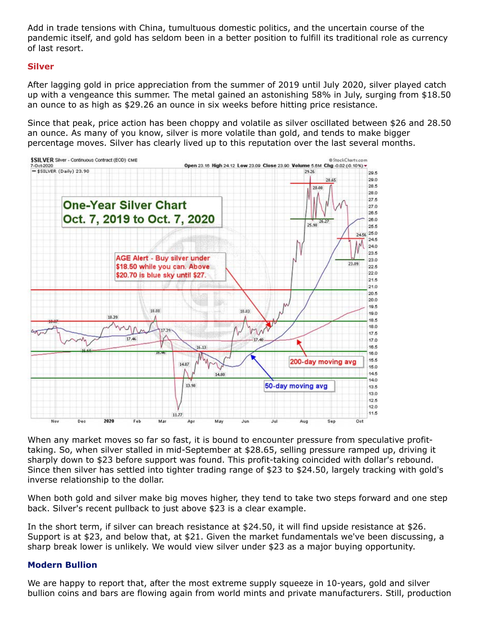Add in trade tensions with China, tumultuous domestic politics, and the uncertain course of the pandemic itself, and gold has seldom been in a better position to fulfill its traditional role as currency of last resort.

#### **Silver**

After lagging gold in price appreciation from the summer of 2019 until July 2020, silver played catch up with a vengeance this summer. The metal gained an astonishing 58% in July, surging from \$18.50 an ounce to as high as \$29.26 an ounce in six weeks before hitting price resistance.

Since that peak, price action has been choppy and volatile as silver oscillated between \$26 and 28.50 an ounce. As many of you know, silver is more volatile than gold, and tends to make bigger percentage moves. Silver has clearly lived up to this reputation over the last several months.



When any market moves so far so fast, it is bound to encounter pressure from speculative profittaking. So, when silver stalled in mid-September at \$28.65, selling pressure ramped up, driving it sharply down to \$23 before support was found. This profit-taking coincided with dollar's rebound. Since then silver has settled into tighter trading range of \$23 to \$24.50, largely tracking with gold's inverse relationship to the dollar.

When both gold and silver make big moves higher, they tend to take two steps forward and one step back. Silver's recent pullback to just above \$23 is a clear example.

In the short term, if silver can breach resistance at \$24.50, it will find upside resistance at \$26. Support is at \$23, and below that, at \$21. Given the market fundamentals we've been discussing, a sharp break lower is unlikely. We would view silver under \$23 as a major buying opportunity.

#### **Modern Bullion**

We are happy to report that, after the most extreme supply squeeze in 10-years, gold and silver bullion coins and bars are flowing again from world mints and private manufacturers. Still, production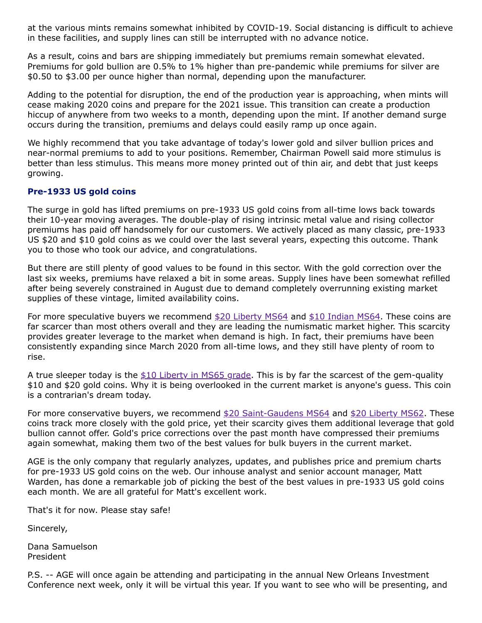at the various mints remains somewhat inhibited by COVID-19. Social distancing is difficult to achieve in these facilities, and supply lines can still be interrupted with no advance notice.

As a result, coins and bars are shipping immediately but premiums remain somewhat elevated. Premiums for gold bullion are 0.5% to 1% higher than pre-pandemic while premiums for silver are \$0.50 to \$3.00 per ounce higher than normal, depending upon the manufacturer.

Adding to the potential for disruption, the end of the production year is approaching, when mints will cease making 2020 coins and prepare for the 2021 issue. This transition can create a production hiccup of anywhere from two weeks to a month, depending upon the mint. If another demand surge occurs during the transition, premiums and delays could easily ramp up once again.

We highly recommend that you take advantage of today's lower gold and silver bullion prices and near-normal premiums to add to your positions. Remember, Chairman Powell said more stimulus is better than less stimulus. This means more money printed out of thin air, and debt that just keeps growing.

## **Pre-1933 US gold coins**

The surge in gold has lifted premiums on pre-1933 US gold coins from all-time lows back towards their 10-year moving averages. The double-play of rising intrinsic metal value and rising collector premiums has paid off handsomely for our customers. We actively placed as many classic, pre-1933 US \$20 and \$10 gold coins as we could over the last several years, expecting this outcome. Thank you to those who took our advice, and congratulations.

But there are still plenty of good values to be found in this sector. With the gold correction over the last six weeks, premiums have relaxed a bit in some areas. Supply lines have been somewhat refilled after being severely constrained in August due to demand completely overrunning existing market supplies of these vintage, limited availability coins.

For more speculative buyers we recommend  $$20$  Liberty MS64 and  $$10$  Indian MS64. These coins are far scarcer than most others overall and they are leading the numismatic market higher. This scarcity provides greater leverage to the market when demand is high. In fact, their premiums have been consistently expanding since March 2020 from all-time lows, and they still have plenty of room to rise.

A true sleeper today is the  $$10$  Liberty in MS65 grade. This is by far the scarcest of the gem-quality \$10 and \$20 gold coins. Why it is being overlooked in the current market is anyone's guess. This coin is a contrarian's dream today.

For more conservative buyers, we recommend  $$20$  Saint-Gaudens MS64 and  $$20$  Liberty MS62. These coins track more closely with the gold price, yet their scarcity gives them additional leverage that gold bullion cannot offer. Gold's price corrections over the past month have compressed their premiums again somewhat, making them two of the best values for bulk buyers in the current market.

AGE is the only company that regularly analyzes, updates, and publishes price and premium charts for pre-1933 US gold coins on the web. Our inhouse analyst and senior account manager, Matt Warden, has done a remarkable job of picking the best of the best values in pre-1933 US gold coins each month. We are all grateful for Matt's excellent work.

That's it for now. Please stay safe!

Sincerely,

Dana Samuelson President

P.S. -- AGE will once again be attending and participating in the annual New Orleans Investment Conference next week, only it will be virtual this year. If you want to see who will be presenting, and